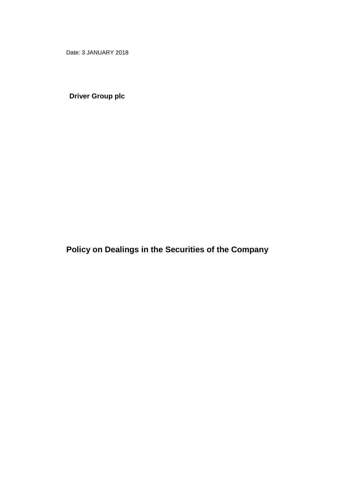Date: 3 JANUARY 2018

# **Driver Group plc**

**Policy on Dealings in the Securities of the Company**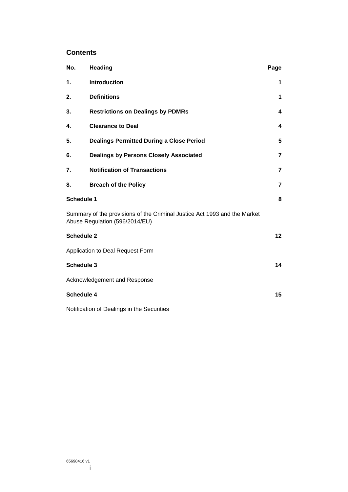## **Contents**

| No.                                                                                                         | <b>Heading</b>                                  | Page                    |  |
|-------------------------------------------------------------------------------------------------------------|-------------------------------------------------|-------------------------|--|
| 1.                                                                                                          | <b>Introduction</b>                             | 1                       |  |
| 2.                                                                                                          | <b>Definitions</b>                              | 1                       |  |
| 3.                                                                                                          | <b>Restrictions on Dealings by PDMRs</b>        | 4                       |  |
| 4.                                                                                                          | <b>Clearance to Deal</b>                        | 4                       |  |
| 5.                                                                                                          | <b>Dealings Permitted During a Close Period</b> | 5                       |  |
| 6.                                                                                                          | <b>Dealings by Persons Closely Associated</b>   | $\overline{7}$          |  |
| 7.                                                                                                          | <b>Notification of Transactions</b>             | $\overline{\mathbf{r}}$ |  |
| 8.                                                                                                          | <b>Breach of the Policy</b>                     | $\overline{\mathbf{r}}$ |  |
| <b>Schedule 1</b>                                                                                           |                                                 |                         |  |
| Summary of the provisions of the Criminal Justice Act 1993 and the Market<br>Abuse Regulation (596/2014/EU) |                                                 |                         |  |
| <b>Schedule 2</b>                                                                                           |                                                 |                         |  |
| Application to Deal Request Form                                                                            |                                                 |                         |  |
| <b>Schedule 3</b>                                                                                           |                                                 |                         |  |
| Acknowledgement and Response                                                                                |                                                 |                         |  |
| <b>Schedule 4</b>                                                                                           |                                                 |                         |  |
| Notification of Dealings in the Securities                                                                  |                                                 |                         |  |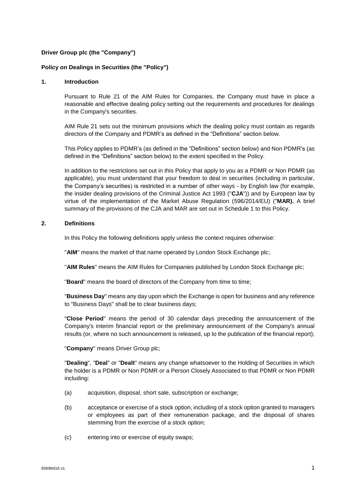#### **Driver Group plc (the "Company")**

#### **Policy on Dealings in Securities (the "Policy")**

#### **1. Introduction**

Pursuant to Rule 21 of the AIM Rules for Companies, the Company must have in place a reasonable and effective dealing policy setting out the requirements and procedures for dealings in the Company's securities.

AIM Rule 21 sets out the minimum provisions which the dealing policy must contain as regards directors of the Company and PDMR's as defined in the "Definitions" section below.

This Policy applies to PDMR's (as defined in the "Definitions" section below) and Non PDMR's (as defined in the "Definitions" section below) to the extent specified in the Policy.

In addition to the restrictions set out in this Policy that apply to you as a PDMR or Non PDMR (as applicable), you must understand that your freedom to deal in securities (including in particular, the Company's securities) is restricted in a number of other ways - by English law (for example, the insider dealing provisions of the Criminal Justice Act 1993 ("**CJA**")) and by European law by virtue of the implementation of the Market Abuse Regulation (596/2014/EU) ("**MAR).** A brief summary of the provisions of the CJA and MAR are set out in Schedule 1 to this Policy.

#### **2. Definitions**

In this Policy the following definitions apply unless the context requires otherwise:

"**AIM**" means the market of that name operated by London Stock Exchange plc;

"**AIM Rules**" means the AIM Rules for Companies published by London Stock Exchange plc;

"**Board**" means the board of directors of the Company from time to time;

"**Business Day**" means any day upon which the Exchange is open for business and any reference to "Business Days" shall be to clear business days;

"**Close Period**" means the period of 30 calendar days preceding the announcement of the Company's interim financial report or the preliminary announcement of the Company's annual results (or, where no such announcement is released, up to the publication of the financial report);

"**Company**" means Driver Group plc;

"**Dealing**", "**Deal**" or "**Dealt**" means any change whatsoever to the Holding of Securities in which the holder is a PDMR or Non PDMR or a Person Closely Associated to that PDMR or Non PDMR including:

- (a) acquisition, disposal, short sale, subscription or exchange;
- (b) acceptance or exercise of a stock option, including of a stock option granted to managers or employees as part of their remuneration package, and the disposal of shares stemming from the exercise of a stock option;
- (c) entering into or exercise of equity swaps;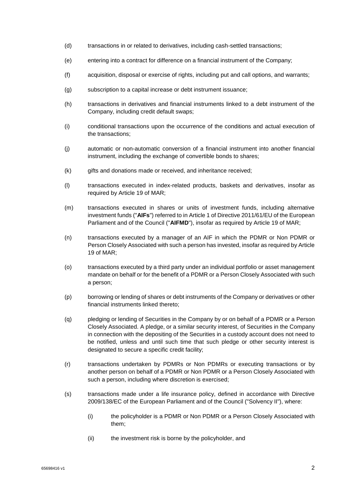- (d) transactions in or related to derivatives, including cash-settled transactions;
- (e) entering into a contract for difference on a financial instrument of the Company;
- (f) acquisition, disposal or exercise of rights, including put and call options, and warrants;
- (g) subscription to a capital increase or debt instrument issuance;
- (h) transactions in derivatives and financial instruments linked to a debt instrument of the Company, including credit default swaps;
- (i) conditional transactions upon the occurrence of the conditions and actual execution of the transactions;
- (j) automatic or non-automatic conversion of a financial instrument into another financial instrument, including the exchange of convertible bonds to shares;
- (k) gifts and donations made or received, and inheritance received;
- (l) transactions executed in index-related products, baskets and derivatives, insofar as required by Article 19 of MAR;
- (m) transactions executed in shares or units of investment funds, including alternative investment funds ("**AIFs**") referred to in Article 1 of Directive 2011/61/EU of the European Parliament and of the Council ("**AIFMD**"), insofar as required by Article 19 of MAR;
- (n) transactions executed by a manager of an AIF in which the PDMR or Non PDMR or Person Closely Associated with such a person has invested, insofar as required by Article 19 of MAR;
- (o) transactions executed by a third party under an individual portfolio or asset management mandate on behalf or for the benefit of a PDMR or a Person Closely Associated with such a person;
- (p) borrowing or lending of shares or debt instruments of the Company or derivatives or other financial instruments linked thereto;
- (q) pledging or lending of Securities in the Company by or on behalf of a PDMR or a Person Closely Associated. A pledge, or a similar security interest, of Securities in the Company in connection with the depositing of the Securities in a custody account does not need to be notified, unless and until such time that such pledge or other security interest is designated to secure a specific credit facility;
- (r) transactions undertaken by PDMRs or Non PDMRs or executing transactions or by another person on behalf of a PDMR or Non PDMR or a Person Closely Associated with such a person, including where discretion is exercised;
- (s) transactions made under a life insurance policy, defined in accordance with Directive 2009/138/EC of the European Parliament and of the Council ("Solvency II"), where:
	- (i) the policyholder is a PDMR or Non PDMR or a Person Closely Associated with them;
	- (ii) the investment risk is borne by the policyholder, and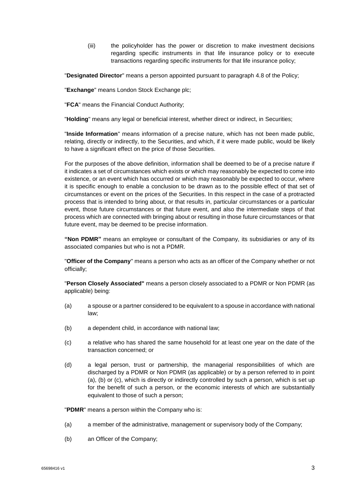(iii) the policyholder has the power or discretion to make investment decisions regarding specific instruments in that life insurance policy or to execute transactions regarding specific instruments for that life insurance policy;

"**Designated Director**" means a person appointed pursuant to paragraph 4.8 of the Policy;

"**Exchange**" means London Stock Exchange plc;

"**FCA**" means the Financial Conduct Authority;

"**Holding**" means any legal or beneficial interest, whether direct or indirect, in Securities;

"**Inside Information**" means information of a precise nature, which has not been made public, relating, directly or indirectly, to the Securities, and which, if it were made public, would be likely to have a significant effect on the price of those Securities.

For the purposes of the above definition, information shall be deemed to be of a precise nature if it indicates a set of circumstances which exists or which may reasonably be expected to come into existence, or an event which has occurred or which may reasonably be expected to occur, where it is specific enough to enable a conclusion to be drawn as to the possible effect of that set of circumstances or event on the prices of the Securities. In this respect in the case of a protracted process that is intended to bring about, or that results in, particular circumstances or a particular event, those future circumstances or that future event, and also the intermediate steps of that process which are connected with bringing about or resulting in those future circumstances or that future event, may be deemed to be precise information.

**"Non PDMR"** means an employee or consultant of the Company, its subsidiaries or any of its associated companies but who is not a PDMR.

"**Officer of the Company**" means a person who acts as an officer of the Company whether or not officially;

"**Person Closely Associated"** means a person closely associated to a PDMR or Non PDMR (as applicable) being:

- (a) a spouse or a partner considered to be equivalent to a spouse in accordance with national law;
- (b) a dependent child, in accordance with national law;
- (c) a relative who has shared the same household for at least one year on the date of the transaction concerned; or
- (d) a legal person, trust or partnership, the managerial responsibilities of which are discharged by a PDMR or Non PDMR (as applicable) or by a person referred to in point (a), (b) or (c), which is directly or indirectly controlled by such a person, which is set up for the benefit of such a person, or the economic interests of which are substantially equivalent to those of such a person;

"**PDMR**" means a person within the Company who is:

- (a) a member of the administrative, management or supervisory body of the Company;
- (b) an Officer of the Company;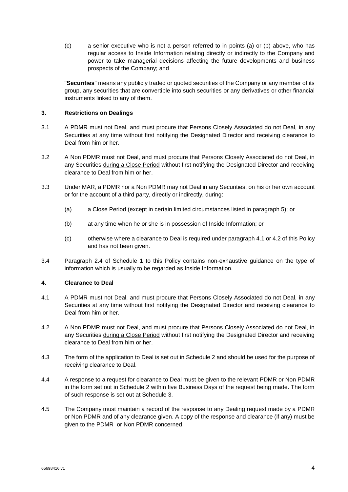(c) a senior executive who is not a person referred to in points (a) or (b) above, who has regular access to Inside Information relating directly or indirectly to the Company and power to take managerial decisions affecting the future developments and business prospects of the Company; and

"**Securities**" means any publicly traded or quoted securities of the Company or any member of its group, any securities that are convertible into such securities or any derivatives or other financial instruments linked to any of them.

#### **3. Restrictions on Dealings**

- 3.1 A PDMR must not Deal, and must procure that Persons Closely Associated do not Deal, in any Securities at any time without first notifying the Designated Director and receiving clearance to Deal from him or her.
- 3.2 A Non PDMR must not Deal, and must procure that Persons Closely Associated do not Deal, in any Securities during a Close Period without first notifying the Designated Director and receiving clearance to Deal from him or her.
- 3.3 Under MAR, a PDMR nor a Non PDMR may not Deal in any Securities, on his or her own account or for the account of a third party, directly or indirectly, during:
	- (a) a Close Period (except in certain limited circumstances listed in paragraph 5); or
	- (b) at any time when he or she is in possession of Inside Information; or
	- (c) otherwise where a clearance to Deal is required under paragraph 4.1 or 4.2 of this Policy and has not been given.
- 3.4 Paragraph 2.4 of Schedule 1 to this Policy contains non-exhaustive guidance on the type of information which is usually to be regarded as Inside Information.

#### **4. Clearance to Deal**

- 4.1 A PDMR must not Deal, and must procure that Persons Closely Associated do not Deal, in any Securities at any time without first notifying the Designated Director and receiving clearance to Deal from him or her.
- 4.2 A Non PDMR must not Deal, and must procure that Persons Closely Associated do not Deal, in any Securities during a Close Period without first notifying the Designated Director and receiving clearance to Deal from him or her.
- 4.3 The form of the application to Deal is set out in Schedule 2 and should be used for the purpose of receiving clearance to Deal.
- 4.4 A response to a request for clearance to Deal must be given to the relevant PDMR or Non PDMR in the form set out in Schedule 2 within five Business Days of the request being made. The form of such response is set out at Schedule 3.
- 4.5 The Company must maintain a record of the response to any Dealing request made by a PDMR or Non PDMR and of any clearance given. A copy of the response and clearance (if any) must be given to the PDMR or Non PDMR concerned.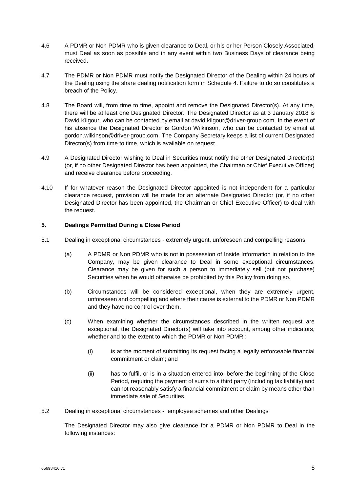- 4.6 A PDMR or Non PDMR who is given clearance to Deal, or his or her Person Closely Associated, must Deal as soon as possible and in any event within two Business Days of clearance being received.
- 4.7 The PDMR or Non PDMR must notify the Designated Director of the Dealing within 24 hours of the Dealing using the share dealing notification form in Schedule 4. Failure to do so constitutes a breach of the Policy.
- 4.8 The Board will, from time to time, appoint and remove the Designated Director(s). At any time, there will be at least one Designated Director. The Designated Director as at 3 January 2018 is David Kilgour, who can be contacted by email at [david.kilgour@driver-group.com.](mailto:david.kilgour@driver-group.com) In the event of his absence the Designated Director is Gordon Wilkinson, who can be contacted by email at gordon.wilkinson@driver-group.com. The Company Secretary keeps a list of current Designated Director(s) from time to time, which is available on request.
- 4.9 A Designated Director wishing to Deal in Securities must notify the other Designated Director(s) (or, if no other Designated Director has been appointed, the Chairman or Chief Executive Officer) and receive clearance before proceeding.
- 4.10 If for whatever reason the Designated Director appointed is not independent for a particular clearance request, provision will be made for an alternate Designated Director (or, if no other Designated Director has been appointed, the Chairman or Chief Executive Officer) to deal with the request.

#### **5. Dealings Permitted During a Close Period**

- 5.1 Dealing in exceptional circumstances extremely urgent, unforeseen and compelling reasons
	- (a) A PDMR or Non PDMR who is not in possession of Inside Information in relation to the Company, may be given clearance to Deal in some exceptional circumstances. Clearance may be given for such a person to immediately sell (but not purchase) Securities when he would otherwise be prohibited by this Policy from doing so.
	- (b) Circumstances will be considered exceptional, when they are extremely urgent, unforeseen and compelling and where their cause is external to the PDMR or Non PDMR and they have no control over them.
	- (c) When examining whether the circumstances described in the written request are exceptional, the Designated Director(s) will take into account, among other indicators, whether and to the extent to which the PDMR or Non PDMR :
		- (i) is at the moment of submitting its request facing a legally enforceable financial commitment or claim; and
		- (ii) has to fulfil, or is in a situation entered into, before the beginning of the Close Period, requiring the payment of sums to a third party (including tax liability) and cannot reasonably satisfy a financial commitment or claim by means other than immediate sale of Securities.
- 5.2 Dealing in exceptional circumstances employee schemes and other Dealings

The Designated Director may also give clearance for a PDMR or Non PDMR to Deal in the following instances: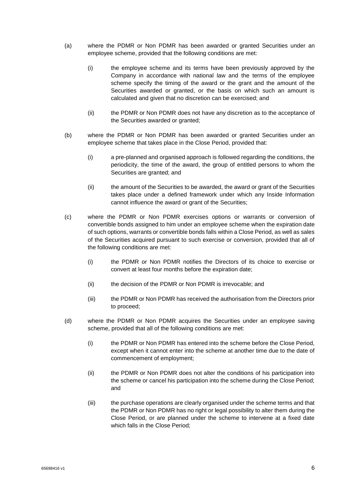- (a) where the PDMR or Non PDMR has been awarded or granted Securities under an employee scheme, provided that the following conditions are met:
	- (i) the employee scheme and its terms have been previously approved by the Company in accordance with national law and the terms of the employee scheme specify the timing of the award or the grant and the amount of the Securities awarded or granted, or the basis on which such an amount is calculated and given that no discretion can be exercised; and
	- (ii) the PDMR or Non PDMR does not have any discretion as to the acceptance of the Securities awarded or granted;
- (b) where the PDMR or Non PDMR has been awarded or granted Securities under an employee scheme that takes place in the Close Period, provided that:
	- (i) a pre-planned and organised approach is followed regarding the conditions, the periodicity, the time of the award, the group of entitled persons to whom the Securities are granted; and
	- (ii) the amount of the Securities to be awarded, the award or grant of the Securities takes place under a defined framework under which any Inside Information cannot influence the award or grant of the Securities:
- (c) where the PDMR or Non PDMR exercises options or warrants or conversion of convertible bonds assigned to him under an employee scheme when the expiration date of such options, warrants or convertible bonds falls within a Close Period, as well as sales of the Securities acquired pursuant to such exercise or conversion, provided that all of the following conditions are met:
	- (i) the PDMR or Non PDMR notifies the Directors of its choice to exercise or convert at least four months before the expiration date;
	- (ii) the decision of the PDMR or Non PDMR is irrevocable; and
	- (iii) the PDMR or Non PDMR has received the authorisation from the Directors prior to proceed;
- (d) where the PDMR or Non PDMR acquires the Securities under an employee saving scheme, provided that all of the following conditions are met:
	- (i) the PDMR or Non PDMR has entered into the scheme before the Close Period, except when it cannot enter into the scheme at another time due to the date of commencement of employment;
	- (ii) the PDMR or Non PDMR does not alter the conditions of his participation into the scheme or cancel his participation into the scheme during the Close Period; and
	- (iii) the purchase operations are clearly organised under the scheme terms and that the PDMR or Non PDMR has no right or legal possibility to alter them during the Close Period, or are planned under the scheme to intervene at a fixed date which falls in the Close Period;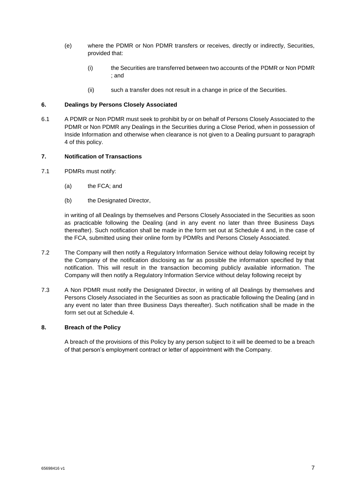- (e) where the PDMR or Non PDMR transfers or receives, directly or indirectly, Securities, provided that:
	- (i) the Securities are transferred between two accounts of the PDMR or Non PDMR ; and
	- (ii) such a transfer does not result in a change in price of the Securities.

#### **6. Dealings by Persons Closely Associated**

6.1 A PDMR or Non PDMR must seek to prohibit by or on behalf of Persons Closely Associated to the PDMR or Non PDMR any Dealings in the Securities during a Close Period, when in possession of Inside Information and otherwise when clearance is not given to a Dealing pursuant to paragraph 4 of this policy.

#### **7. Notification of Transactions**

- 7.1 PDMRs must notify:
	- (a) the FCA; and
	- (b) the Designated Director,

in writing of all Dealings by themselves and Persons Closely Associated in the Securities as soon as practicable following the Dealing (and in any event no later than three Business Days thereafter). Such notification shall be made in the form set out at Schedule 4 and, in the case of the FCA, submitted using their online form by PDMRs and Persons Closely Associated.

- 7.2 The Company will then notify a Regulatory Information Service without delay following receipt by the Company of the notification disclosing as far as possible the information specified by that notification. This will result in the transaction becoming publicly available information. The Company will then notify a Regulatory Information Service without delay following receipt by
- 7.3 A Non PDMR must notify the Designated Director, in writing of all Dealings by themselves and Persons Closely Associated in the Securities as soon as practicable following the Dealing (and in any event no later than three Business Days thereafter). Such notification shall be made in the form set out at Schedule 4.

#### **8. Breach of the Policy**

A breach of the provisions of this Policy by any person subject to it will be deemed to be a breach of that person's employment contract or letter of appointment with the Company.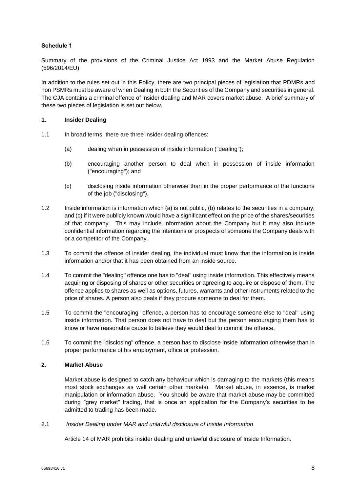Summary of the provisions of the Criminal Justice Act 1993 and the Market Abuse Regulation (596/2014/EU)

In addition to the rules set out in this Policy, there are two principal pieces of legislation that PDMRs and non PSMRs must be aware of when Dealing in both the Securities of the Company and securities in general. The CJA contains a criminal offence of insider dealing and MAR covers market abuse. A brief summary of these two pieces of legislation is set out below.

#### **1. Insider Dealing**

- 1.1 In broad terms, there are three insider dealing offences:
	- (a) dealing when in possession of inside information ("dealing");
	- (b) encouraging another person to deal when in possession of inside information ("encouraging"); and
	- (c) disclosing inside information otherwise than in the proper performance of the functions of the job ("disclosing").
- 1.2 Inside information is information which (a) is not public, (b) relates to the securities in a company, and (c) if it were publicly known would have a significant effect on the price of the shares/securities of that company. This may include information about the Company but it may also include confidential information regarding the intentions or prospects of someone the Company deals with or a competitor of the Company.
- 1.3 To commit the offence of insider dealing, the individual must know that the information is inside information and/or that it has been obtained from an inside source.
- 1.4 To commit the "dealing" offence one has to "deal" using inside information. This effectively means acquiring or disposing of shares or other securities or agreeing to acquire or dispose of them. The offence applies to shares as well as options, futures, warrants and other instruments related to the price of shares. A person also deals if they procure someone to deal for them.
- 1.5 To commit the "encouraging" offence, a person has to encourage someone else to "deal" using inside information. That person does not have to deal but the person encouraging them has to know or have reasonable cause to believe they would deal to commit the offence.
- 1.6 To commit the "disclosing" offence, a person has to disclose inside information otherwise than in proper performance of his employment, office or profession.

#### **2. Market Abuse**

Market abuse is designed to catch any behaviour which is damaging to the markets (this means most stock exchanges as well certain other markets). Market abuse, in essence, is market manipulation or information abuse. You should be aware that market abuse may be committed during "grey market" trading, that is once an application for the Company's securities to be admitted to trading has been made.

2.1 *Insider Dealing under MAR and unlawful disclosure of Inside Information*

Article 14 of MAR prohibits insider dealing and unlawful disclosure of Inside Information.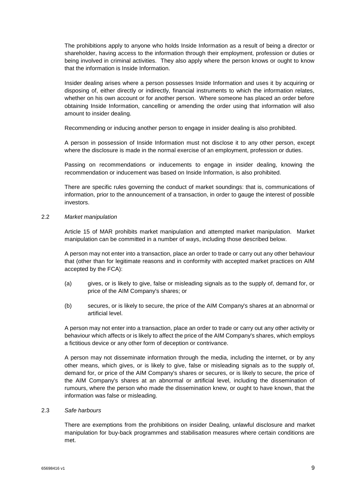The prohibitions apply to anyone who holds Inside Information as a result of being a director or shareholder, having access to the information through their employment, profession or duties or being involved in criminal activities. They also apply where the person knows or ought to know that the information is Inside Information.

Insider dealing arises where a person possesses Inside Information and uses it by acquiring or disposing of, either directly or indirectly, financial instruments to which the information relates, whether on his own account or for another person. Where someone has placed an order before obtaining Inside Information, cancelling or amending the order using that information will also amount to insider dealing.

Recommending or inducing another person to engage in insider dealing is also prohibited.

A person in possession of Inside Information must not disclose it to any other person, except where the disclosure is made in the normal exercise of an employment, profession or duties.

Passing on recommendations or inducements to engage in insider dealing, knowing the recommendation or inducement was based on Inside Information, is also prohibited.

There are specific rules governing the conduct of market soundings: that is, communications of information, prior to the announcement of a transaction, in order to gauge the interest of possible investors.

#### 2.2 *Market manipulation*

Article 15 of MAR prohibits market manipulation and attempted market manipulation. Market manipulation can be committed in a number of ways, including those described below.

A person may not enter into a transaction, place an order to trade or carry out any other behaviour that (other than for legitimate reasons and in conformity with accepted market practices on AIM accepted by the FCA):

- (a) gives, or is likely to give, false or misleading signals as to the supply of, demand for, or price of the AIM Company's shares; or
- (b) secures, or is likely to secure, the price of the AIM Company's shares at an abnormal or artificial level.

A person may not enter into a transaction, place an order to trade or carry out any other activity or behaviour which affects or is likely to affect the price of the AIM Company's shares, which employs a fictitious device or any other form of deception or contrivance.

A person may not disseminate information through the media, including the internet, or by any other means, which gives, or is likely to give, false or misleading signals as to the supply of, demand for, or price of the AIM Company's shares or secures, or is likely to secure, the price of the AIM Company's shares at an abnormal or artificial level, including the dissemination of rumours, where the person who made the dissemination knew, or ought to have known, that the information was false or misleading.

#### 2.3 *Safe harbours*

There are exemptions from the prohibitions on insider Dealing, unlawful disclosure and market manipulation for buy-back programmes and stabilisation measures where certain conditions are met.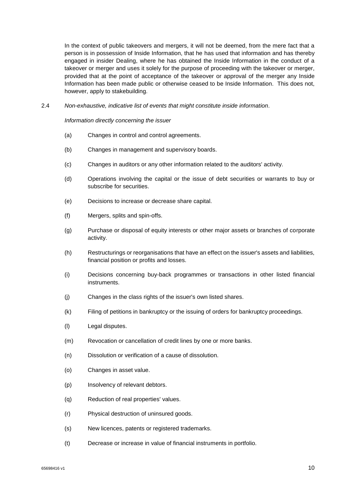In the context of public takeovers and mergers, it will not be deemed, from the mere fact that a person is in possession of Inside Information, that he has used that information and has thereby engaged in insider Dealing, where he has obtained the Inside Information in the conduct of a takeover or merger and uses it solely for the purpose of proceeding with the takeover or merger, provided that at the point of acceptance of the takeover or approval of the merger any Inside Information has been made public or otherwise ceased to be Inside Information. This does not, however, apply to stakebuilding.

2.4 *Non-exhaustive, indicative list of events that might constitute inside information*.

#### *Information directly concerning the issuer*

- (a) Changes in control and control agreements.
- (b) Changes in management and supervisory boards.
- (c) Changes in auditors or any other information related to the auditors' activity.
- (d) Operations involving the capital or the issue of debt securities or warrants to buy or subscribe for securities.
- (e) Decisions to increase or decrease share capital.
- (f) Mergers, splits and spin-offs.
- (g) Purchase or disposal of equity interests or other major assets or branches of corporate activity.
- (h) Restructurings or reorganisations that have an effect on the issuer's assets and liabilities, financial position or profits and losses.
- (i) Decisions concerning buy-back programmes or transactions in other listed financial instruments.
- (j) Changes in the class rights of the issuer's own listed shares.
- (k) Filing of petitions in bankruptcy or the issuing of orders for bankruptcy proceedings.
- (l) Legal disputes.
- (m) Revocation or cancellation of credit lines by one or more banks.
- (n) Dissolution or verification of a cause of dissolution.
- (o) Changes in asset value.
- (p) Insolvency of relevant debtors.
- (q) Reduction of real properties' values.
- (r) Physical destruction of uninsured goods.
- (s) New licences, patents or registered trademarks.
- (t) Decrease or increase in value of financial instruments in portfolio.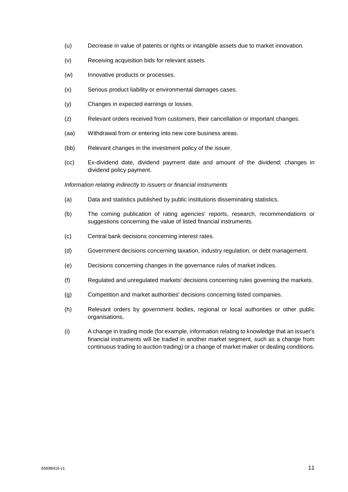- (u) Decrease in value of patents or rights or intangible assets due to market innovation.
- (v) Receiving acquisition bids for relevant assets.
- (w) Innovative products or processes.
- (x) Serious product liability or environmental damages cases.
- (y) Changes in expected earnings or losses.
- (z) Relevant orders received from customers, their cancellation or important changes.
- (aa) Withdrawal from or entering into new core business areas.
- (bb) Relevant changes in the investment policy of the issuer.
- (cc) Ex-dividend date, dividend payment date and amount of the dividend; changes in dividend policy payment.

*Information relating indirectly to issuers or financial instruments*

- (a) Data and statistics published by public institutions disseminating statistics.
- (b) The coming publication of rating agencies' reports, research, recommendations or suggestions concerning the value of listed financial instruments.
- (c) Central bank decisions concerning interest rates.
- (d) Government decisions concerning taxation, industry regulation, or debt management.
- (e) Decisions concerning changes in the governance rules of market indices.
- (f) Regulated and unregulated markets' decisions concerning rules governing the markets.
- (g) Competition and market authorities' decisions concerning listed companies.
- (h) Relevant orders by government bodies, regional or local authorities or other public organisations.
- (i) A change in trading mode (for example, information relating to knowledge that an issuer's financial instruments will be traded in another market segment, such as a change from continuous trading to auction trading) or a change of market maker or dealing conditions.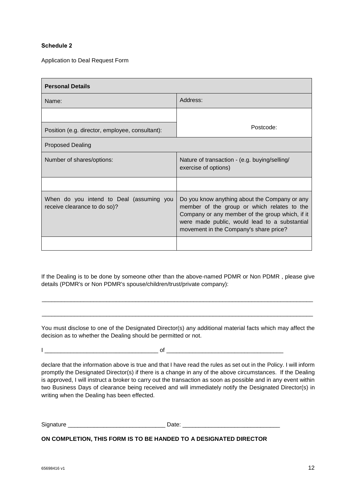Application to Deal Request Form

| <b>Personal Details</b>                                                  |                                                                                                                                                                                                                                            |  |  |  |
|--------------------------------------------------------------------------|--------------------------------------------------------------------------------------------------------------------------------------------------------------------------------------------------------------------------------------------|--|--|--|
| Name:                                                                    | Address:                                                                                                                                                                                                                                   |  |  |  |
|                                                                          |                                                                                                                                                                                                                                            |  |  |  |
| Position (e.g. director, employee, consultant):                          | Postcode:                                                                                                                                                                                                                                  |  |  |  |
| <b>Proposed Dealing</b>                                                  |                                                                                                                                                                                                                                            |  |  |  |
| Number of shares/options:                                                | Nature of transaction - (e.g. buying/selling/<br>exercise of options)                                                                                                                                                                      |  |  |  |
|                                                                          |                                                                                                                                                                                                                                            |  |  |  |
| When do you intend to Deal (assuming you<br>receive clearance to do so)? | Do you know anything about the Company or any<br>member of the group or which relates to the<br>Company or any member of the group which, if it<br>were made public, would lead to a substantial<br>movement in the Company's share price? |  |  |  |
|                                                                          |                                                                                                                                                                                                                                            |  |  |  |

If the Dealing is to be done by someone other than the above-named PDMR or Non PDMR , please give details (PDMR's or Non PDMR's spouse/children/trust/private company):

 $\_$  ,  $\_$  ,  $\_$  ,  $\_$  ,  $\_$  ,  $\_$  ,  $\_$  ,  $\_$  ,  $\_$  ,  $\_$  ,  $\_$  ,  $\_$  ,  $\_$  ,  $\_$  ,  $\_$  ,  $\_$  ,  $\_$  ,  $\_$  ,  $\_$  ,  $\_$  ,  $\_$  ,  $\_$  ,  $\_$  ,  $\_$  ,  $\_$  ,  $\_$  ,  $\_$  ,  $\_$  ,  $\_$  ,  $\_$  ,  $\_$  ,  $\_$  ,  $\_$  ,  $\_$  ,  $\_$  ,  $\_$  ,  $\_$  ,

\_\_\_\_\_\_\_\_\_\_\_\_\_\_\_\_\_\_\_\_\_\_\_\_\_\_\_\_\_\_\_\_\_\_\_\_\_\_\_\_\_\_\_\_\_\_\_\_\_\_\_\_\_\_\_\_\_\_\_\_\_\_\_\_\_\_\_\_\_\_\_\_\_\_\_\_\_\_\_\_\_\_\_\_

You must disclose to one of the Designated Director(s) any additional material facts which may affect the decision as to whether the Dealing should be permitted or not.

 $\mathsf{I}$   $\hspace{0.2cm}$   $\hspace{0.2cm}$   $\hspace{0.2cm}$   $\hspace{0.2cm}$  of  $\hspace{0.2cm}$   $\hspace{0.2cm}$   $\hspace{0.2cm}$   $\hspace{0.2cm}$ 

declare that the information above is true and that I have read the rules as set out in the Policy. I will inform promptly the Designated Director(s) if there is a change in any of the above circumstances. If the Dealing is approved, I will instruct a broker to carry out the transaction as soon as possible and in any event within two Business Days of clearance being received and will immediately notify the Designated Director(s) in writing when the Dealing has been effected.

Signature \_\_\_\_\_\_\_\_\_\_\_\_\_\_\_\_\_\_\_\_\_\_\_\_\_\_\_\_\_\_ Date: \_\_\_\_\_\_\_\_\_\_\_\_\_\_\_\_\_\_\_\_\_\_\_\_\_\_\_\_\_\_

**ON COMPLETION, THIS FORM IS TO BE HANDED TO A DESIGNATED DIRECTOR**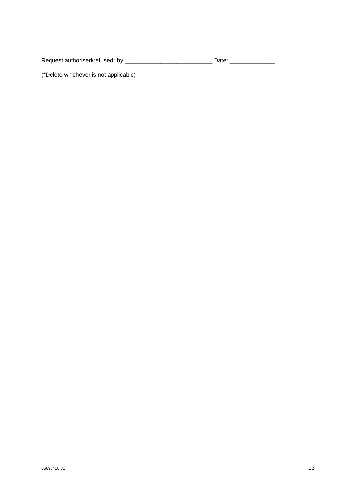Request authorised/refused\* by \_\_\_\_\_\_\_\_\_\_\_\_\_\_\_\_\_\_\_\_\_\_\_\_\_\_\_ Date: \_\_\_\_\_\_\_\_\_\_\_\_\_\_

(\*Delete whichever is not applicable)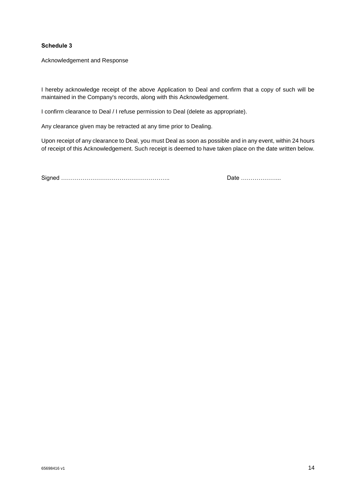Acknowledgement and Response

I hereby acknowledge receipt of the above Application to Deal and confirm that a copy of such will be maintained in the Company's records, along with this Acknowledgement.

I confirm clearance to Deal / I refuse permission to Deal (delete as appropriate).

Any clearance given may be retracted at any time prior to Dealing.

Upon receipt of any clearance to Deal, you must Deal as soon as possible and in any event, within 24 hours of receipt of this Acknowledgement. Such receipt is deemed to have taken place on the date written below.

Signed ……………………………………………….. Date ………………...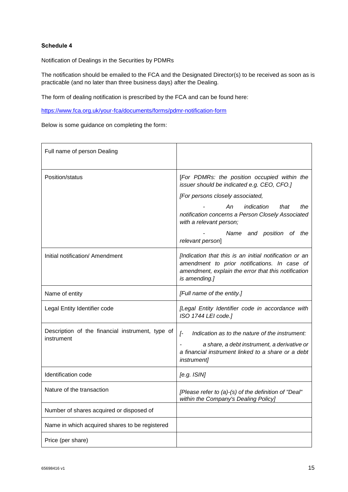Notification of Dealings in the Securities by PDMRs

The notification should be emailed to the FCA and the Designated Director(s) to be received as soon as is practicable (and no later than three business days) after the Dealing.

The form of dealing notification is prescribed by the FCA and can be found here:

<https://www.fca.org.uk/your-fca/documents/forms/pdmr-notification-form>

Below is some guidance on completing the form:

| Full name of person Dealing                                    |                                                                                                                                                                                |
|----------------------------------------------------------------|--------------------------------------------------------------------------------------------------------------------------------------------------------------------------------|
| Position/status                                                | [For PDMRs: the position occupied within the<br>issuer should be indicated e.g. CEO, CFO.]                                                                                     |
|                                                                | [For persons closely associated,                                                                                                                                               |
|                                                                | Аn<br>indication<br>that<br>the<br>notification concerns a Person Closely Associated<br>with a relevant person;                                                                |
|                                                                | Name and position of the<br>relevant person]                                                                                                                                   |
| Initial notification/ Amendment                                | [Indication that this is an initial notification or an<br>amendment to prior notifications. In case of<br>amendment, explain the error that this notification<br>is amending.] |
| Name of entity                                                 | [Full name of the entity.]                                                                                                                                                     |
| Legal Entity Identifier code                                   | [Legal Entity Identifier code in accordance with<br>ISO 1744 LEI code.]                                                                                                        |
| Description of the financial instrument, type of<br>instrument | $\overline{I}$<br>Indication as to the nature of the instrument:                                                                                                               |
|                                                                | a share, a debt instrument, a derivative or<br>a financial instrument linked to a share or a debt<br>instrument]                                                               |
| Identification code                                            | [e.g. ISIN]                                                                                                                                                                    |
| Nature of the transaction                                      | [Please refer to (a)-(s) of the definition of "Deal"<br>within the Company's Dealing Policy]                                                                                   |
| Number of shares acquired or disposed of                       |                                                                                                                                                                                |
| Name in which acquired shares to be registered                 |                                                                                                                                                                                |
| Price (per share)                                              |                                                                                                                                                                                |